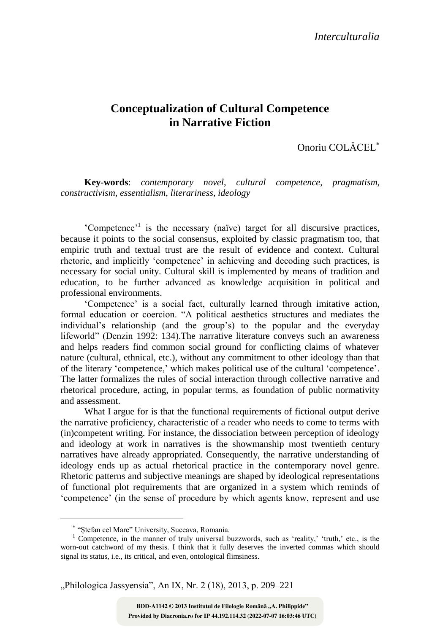## **Conceptualization of Cultural Competence in Narrative Fiction**

Onoriu COLĂCEL

**Key-words**: *contemporary novel*, *cultural competence*, *pragmatism*, *constructivism*, *essentialism*, *literariness*, *ideology*

'Competence'<sup>1</sup> is the necessary (naïve) target for all discursive practices, because it points to the social consensus, exploited by classic pragmatism too, that empiric truth and textual trust are the result of evidence and context. Cultural rhetoric, and implicitly 'competence' in achieving and decoding such practices, is necessary for social unity. Cultural skill is implemented by means of tradition and education, to be further advanced as knowledge acquisition in political and professional environments.

'Competence' is a social fact, culturally learned through imitative action, formal education or coercion. "A political aesthetics structures and mediates the individual's relationship (and the group's) to the popular and the everyday lifeworld" (Denzin 1992: 134).The narrative literature conveys such an awareness and helps readers find common social ground for conflicting claims of whatever nature (cultural, ethnical, etc.), without any commitment to other ideology than that of the literary 'competence,' which makes political use of the cultural 'competence'. The latter formalizes the rules of social interaction through collective narrative and rhetorical procedure, acting, in popular terms, as foundation of public normativity and assessment.

What I argue for is that the functional requirements of fictional output derive the narrative proficiency, characteristic of a reader who needs to come to terms with (in)competent writing. For instance, the dissociation between perception of ideology and ideology at work in narratives is the showmanship most twentieth century narratives have already appropriated. Consequently, the narrative understanding of ideology ends up as actual rhetorical practice in the contemporary novel genre. Rhetoric patterns and subjective meanings are shaped by ideological representations of functional plot requirements that are organized in a system which reminds of 'competence' (in the sense of procedure by which agents know, represent and use

 $\overline{a}$ 

"Philologica Jassyensia", An IX, Nr. 2 (18), 2013, p. 209–221

**Provided by Diacronia.ro for IP 44.192.114.32 (2022-07-07 16:03:46 UTC)** BDD-A1142 © 2013 Institutul de Filologie Română "A. Philippide"

"Ștefan cel Mare" University, Suceava, Romania.

<sup>&</sup>lt;sup>1</sup> Competence, in the manner of truly universal buzzwords, such as 'reality,' 'truth,' etc., is the worn-out catchword of my thesis. I think that it fully deserves the inverted commas which should signal its status, i.e., its critical, and even, ontological flimsiness.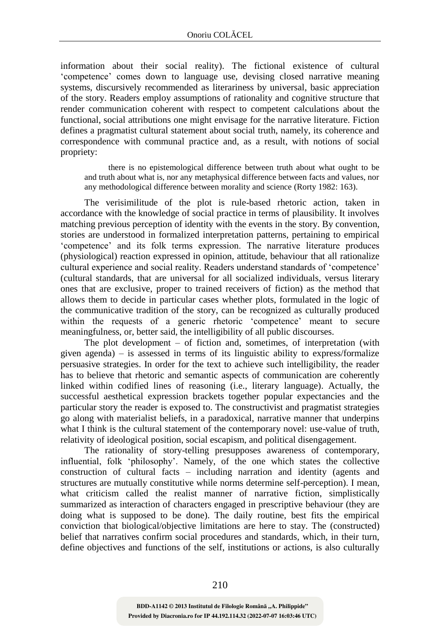information about their social reality). The fictional existence of cultural 'competence' comes down to language use, devising closed narrative meaning systems, discursively recommended as literariness by universal, basic appreciation of the story. Readers employ assumptions of rationality and cognitive structure that render communication coherent with respect to competent calculations about the functional, social attributions one might envisage for the narrative literature. Fiction defines a pragmatist cultural statement about social truth, namely, its coherence and correspondence with communal practice and, as a result, with notions of social propriety:

there is no epistemological difference between truth about what ought to be and truth about what is, nor any metaphysical difference between facts and values, nor any methodological difference between morality and science (Rorty 1982: 163).

The verisimilitude of the plot is rule-based rhetoric action, taken in accordance with the knowledge of social practice in terms of plausibility. It involves matching previous perception of identity with the events in the story. By convention, stories are understood in formalized interpretation patterns, pertaining to empirical 'competence' and its folk terms expression. The narrative literature produces (physiological) reaction expressed in opinion, attitude, behaviour that all rationalize cultural experience and social reality. Readers understand standards of 'competence' (cultural standards, that are universal for all socialized individuals, versus literary ones that are exclusive, proper to trained receivers of fiction) as the method that allows them to decide in particular cases whether plots, formulated in the logic of the communicative tradition of the story, can be recognized as culturally produced within the requests of a generic rhetoric 'competence' meant to secure meaningfulness, or, better said, the intelligibility of all public discourses.

The plot development – of fiction and, sometimes, of interpretation (with given agenda) – is assessed in terms of its linguistic ability to express/formalize persuasive strategies. In order for the text to achieve such intelligibility, the reader has to believe that rhetoric and semantic aspects of communication are coherently linked within codified lines of reasoning (i.e., literary language). Actually, the successful aesthetical expression brackets together popular expectancies and the particular story the reader is exposed to. The constructivist and pragmatist strategies go along with materialist beliefs, in a paradoxical, narrative manner that underpins what I think is the cultural statement of the contemporary novel: use-value of truth, relativity of ideological position, social escapism, and political disengagement.

The rationality of story-telling presupposes awareness of contemporary, influential, folk 'philosophy'. Namely, of the one which states the collective construction of cultural facts – including narration and identity (agents and structures are mutually constitutive while norms determine self-perception). I mean, what criticism called the realist manner of narrative fiction, simplistically summarized as interaction of characters engaged in prescriptive behaviour (they are doing what is supposed to be done). The daily routine, best fits the empirical conviction that biological/objective limitations are here to stay. The (constructed) belief that narratives confirm social procedures and standards, which, in their turn, define objectives and functions of the self, institutions or actions, is also culturally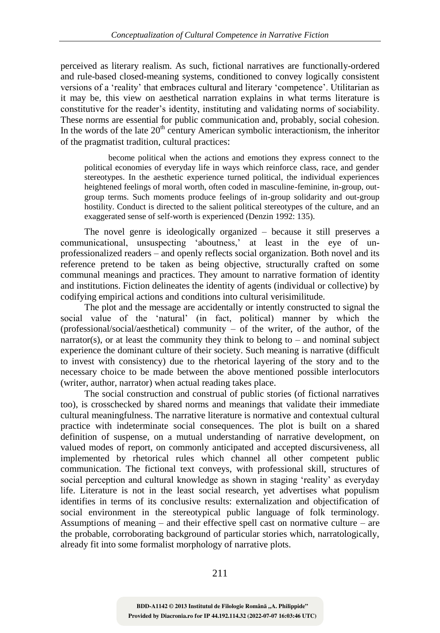perceived as literary realism. As such, fictional narratives are functionally-ordered and rule-based closed-meaning systems, conditioned to convey logically consistent versions of a 'reality' that embraces cultural and literary 'competence'. Utilitarian as it may be, this view on aesthetical narration explains in what terms literature is constitutive for the reader's identity, instituting and validating norms of sociability. These norms are essential for public communication and, probably, social cohesion. In the words of the late  $20<sup>th</sup>$  century American symbolic interactionism, the inheritor of the pragmatist tradition, cultural practices:

become political when the actions and emotions they express connect to the political economies of everyday life in ways which reinforce class, race, and gender stereotypes. In the aesthetic experience turned political, the individual experiences heightened feelings of moral worth, often coded in masculine-feminine, in-group, outgroup terms. Such moments produce feelings of in-group solidarity and out-group hostility. Conduct is directed to the salient political stereotypes of the culture, and an exaggerated sense of self-worth is experienced (Denzin 1992: 135).

The novel genre is ideologically organized – because it still preserves a communicational, unsuspecting 'aboutness,' at least in the eye of unprofessionalized readers – and openly reflects social organization. Both novel and its reference pretend to be taken as being objective, structurally crafted on some communal meanings and practices. They amount to narrative formation of identity and institutions. Fiction delineates the identity of agents (individual or collective) by codifying empirical actions and conditions into cultural verisimilitude.

The plot and the message are accidentally or intently constructed to signal the social value of the 'natural' (in fact, political) manner by which the (professional/social/aesthetical) community – of the writer, of the author, of the narrator(s), or at least the community they think to belong to – and nominal subject experience the dominant culture of their society. Such meaning is narrative (difficult to invest with consistency) due to the rhetorical layering of the story and to the necessary choice to be made between the above mentioned possible interlocutors (writer, author, narrator) when actual reading takes place.

The social construction and construal of public stories (of fictional narratives too), is crosschecked by shared norms and meanings that validate their immediate cultural meaningfulness. The narrative literature is normative and contextual cultural practice with indeterminate social consequences. The plot is built on a shared definition of suspense, on a mutual understanding of narrative development, on valued modes of report, on commonly anticipated and accepted discursiveness, all implemented by rhetorical rules which channel all other competent public communication. The fictional text conveys, with professional skill, structures of social perception and cultural knowledge as shown in staging 'reality' as everyday life. Literature is not in the least social research, yet advertises what populism identifies in terms of its conclusive results: externalization and objectification of social environment in the stereotypical public language of folk terminology. Assumptions of meaning – and their effective spell cast on normative culture – are the probable, corroborating background of particular stories which, narratologically, already fit into some formalist morphology of narrative plots.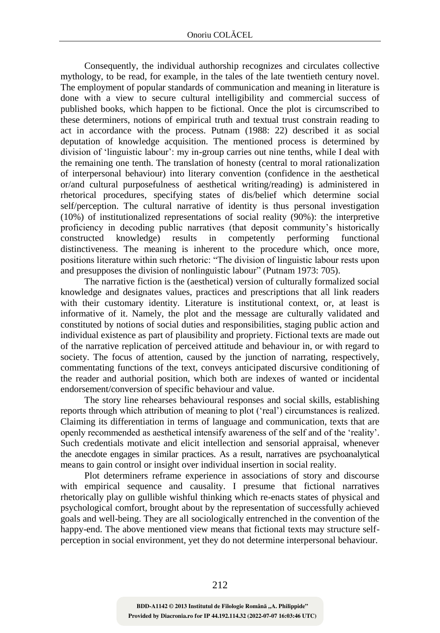Consequently, the individual authorship recognizes and circulates collective mythology, to be read, for example, in the tales of the late twentieth century novel. The employment of popular standards of communication and meaning in literature is done with a view to secure cultural intelligibility and commercial success of published books, which happen to be fictional. Once the plot is circumscribed to these determiners, notions of empirical truth and textual trust constrain reading to act in accordance with the process. Putnam (1988: 22) described it as social deputation of knowledge acquisition. The mentioned process is determined by division of 'linguistic labour': my in-group carries out nine tenths, while I deal with the remaining one tenth. The translation of honesty (central to moral rationalization of interpersonal behaviour) into literary convention (confidence in the aesthetical or/and cultural purposefulness of aesthetical writing/reading) is administered in rhetorical procedures, specifying states of dis/belief which determine social self/perception. The cultural narrative of identity is thus personal investigation (10%) of institutionalized representations of social reality (90%): the interpretive proficiency in decoding public narratives (that deposit community's historically constructed knowledge) results in competently performing functional distinctiveness. The meaning is inherent to the procedure which, once more, positions literature within such rhetoric: "The division of linguistic labour rests upon and presupposes the division of nonlinguistic labour" (Putnam 1973: 705).

The narrative fiction is the (aesthetical) version of culturally formalized social knowledge and designates values, practices and prescriptions that all link readers with their customary identity. Literature is institutional context, or, at least is informative of it. Namely, the plot and the message are culturally validated and constituted by notions of social duties and responsibilities, staging public action and individual existence as part of plausibility and propriety. Fictional texts are made out of the narrative replication of perceived attitude and behaviour in, or with regard to society. The focus of attention, caused by the junction of narrating, respectively, commentating functions of the text, conveys anticipated discursive conditioning of the reader and authorial position, which both are indexes of wanted or incidental endorsement/conversion of specific behaviour and value.

The story line rehearses behavioural responses and social skills, establishing reports through which attribution of meaning to plot ('real') circumstances is realized. Claiming its differentiation in terms of language and communication, texts that are openly recommended as aesthetical intensify awareness of the self and of the 'reality'. Such credentials motivate and elicit intellection and sensorial appraisal, whenever the anecdote engages in similar practices. As a result, narratives are psychoanalytical means to gain control or insight over individual insertion in social reality.

Plot determiners reframe experience in associations of story and discourse with empirical sequence and causality. I presume that fictional narratives rhetorically play on gullible wishful thinking which re-enacts states of physical and psychological comfort, brought about by the representation of successfully achieved goals and well-being. They are all sociologically entrenched in the convention of the happy-end. The above mentioned view means that fictional texts may structure selfperception in social environment, yet they do not determine interpersonal behaviour.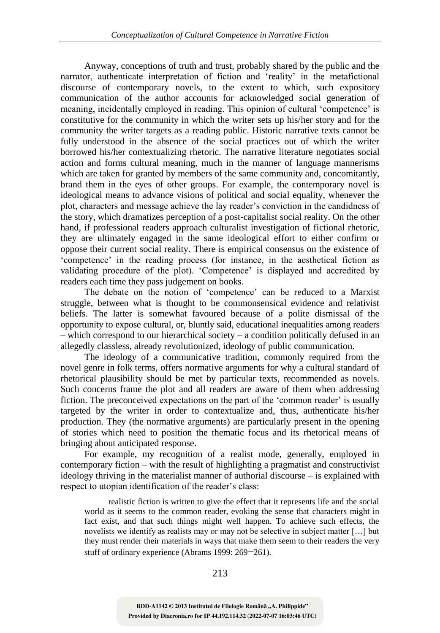Anyway, conceptions of truth and trust, probably shared by the public and the narrator, authenticate interpretation of fiction and 'reality' in the metafictional discourse of contemporary novels, to the extent to which, such expository communication of the author accounts for acknowledged social generation of meaning, incidentally employed in reading. This opinion of cultural 'competence' is constitutive for the community in which the writer sets up his/her story and for the community the writer targets as a reading public. Historic narrative texts cannot be fully understood in the absence of the social practices out of which the writer borrowed his/her contextualizing rhetoric. The narrative literature negotiates social action and forms cultural meaning, much in the manner of language mannerisms which are taken for granted by members of the same community and, concomitantly, brand them in the eyes of other groups. For example, the contemporary novel is ideological means to advance visions of political and social equality, whenever the plot, characters and message achieve the lay reader's conviction in the candidness of the story, which dramatizes perception of a post-capitalist social reality. On the other hand, if professional readers approach culturalist investigation of fictional rhetoric, they are ultimately engaged in the same ideological effort to either confirm or oppose their current social reality. There is empirical consensus on the existence of 'competence' in the reading process (for instance, in the aesthetical fiction as validating procedure of the plot). 'Competence' is displayed and accredited by readers each time they pass judgement on books.

The debate on the notion of 'competence' can be reduced to a Marxist struggle, between what is thought to be commonsensical evidence and relativist beliefs. The latter is somewhat favoured because of a polite dismissal of the opportunity to expose cultural, or, bluntly said, educational inequalities among readers – which correspond to our hierarchical society – a condition politically defused in an allegedly classless, already revolutionized, ideology of public communication.

The ideology of a communicative tradition, commonly required from the novel genre in folk terms, offers normative arguments for why a cultural standard of rhetorical plausibility should be met by particular texts, recommended as novels. Such concerns frame the plot and all readers are aware of them when addressing fiction. The preconceived expectations on the part of the 'common reader' is usually targeted by the writer in order to contextualize and, thus, authenticate his/her production. They (the normative arguments) are particularly present in the opening of stories which need to position the thematic focus and its rhetorical means of bringing about anticipated response.

For example, my recognition of a realist mode, generally, employed in contemporary fiction – with the result of highlighting a pragmatist and constructivist ideology thriving in the materialist manner of authorial discourse – is explained with respect to utopian identification of the reader's class:

realistic fiction is written to give the effect that it represents life and the social world as it seems to the common reader, evoking the sense that characters might in fact exist, and that such things might well happen. To achieve such effects, the novelists we identify as realists may or may not be selective in subject matter […] but they must render their materials in ways that make them seem to their readers the very stuff of ordinary experience (Abrams 1999: 269−261).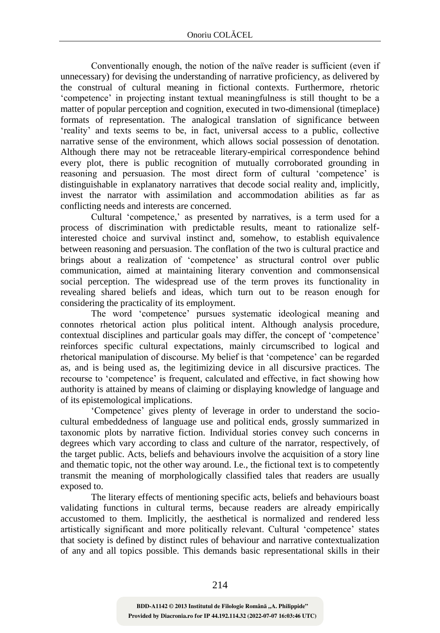Conventionally enough, the notion of the naïve reader is sufficient (even if unnecessary) for devising the understanding of narrative proficiency, as delivered by the construal of cultural meaning in fictional contexts. Furthermore, rhetoric 'competence' in projecting instant textual meaningfulness is still thought to be a matter of popular perception and cognition, executed in two-dimensional (timeplace) formats of representation. The analogical translation of significance between 'reality' and texts seems to be, in fact, universal access to a public, collective narrative sense of the environment, which allows social possession of denotation. Although there may not be retraceable literary-empirical correspondence behind every plot, there is public recognition of mutually corroborated grounding in reasoning and persuasion. The most direct form of cultural 'competence' is distinguishable in explanatory narratives that decode social reality and, implicitly, invest the narrator with assimilation and accommodation abilities as far as conflicting needs and interests are concerned.

Cultural 'competence,' as presented by narratives, is a term used for a process of discrimination with predictable results, meant to rationalize selfinterested choice and survival instinct and, somehow, to establish equivalence between reasoning and persuasion. The conflation of the two is cultural practice and brings about a realization of 'competence' as structural control over public communication, aimed at maintaining literary convention and commonsensical social perception. The widespread use of the term proves its functionality in revealing shared beliefs and ideas, which turn out to be reason enough for considering the practicality of its employment.

The word 'competence' pursues systematic ideological meaning and connotes rhetorical action plus political intent. Although analysis procedure, contextual disciplines and particular goals may differ, the concept of 'competence' reinforces specific cultural expectations, mainly circumscribed to logical and rhetorical manipulation of discourse. My belief is that 'competence' can be regarded as, and is being used as, the legitimizing device in all discursive practices. The recourse to 'competence' is frequent, calculated and effective, in fact showing how authority is attained by means of claiming or displaying knowledge of language and of its epistemological implications.

'Competence' gives plenty of leverage in order to understand the sociocultural embeddedness of language use and political ends, grossly summarized in taxonomic plots by narrative fiction. Individual stories convey such concerns in degrees which vary according to class and culture of the narrator, respectively, of the target public. Acts, beliefs and behaviours involve the acquisition of a story line and thematic topic, not the other way around. I.e., the fictional text is to competently transmit the meaning of morphologically classified tales that readers are usually exposed to.

The literary effects of mentioning specific acts, beliefs and behaviours boast validating functions in cultural terms, because readers are already empirically accustomed to them. Implicitly, the aesthetical is normalized and rendered less artistically significant and more politically relevant. Cultural 'competence' states that society is defined by distinct rules of behaviour and narrative contextualization of any and all topics possible. This demands basic representational skills in their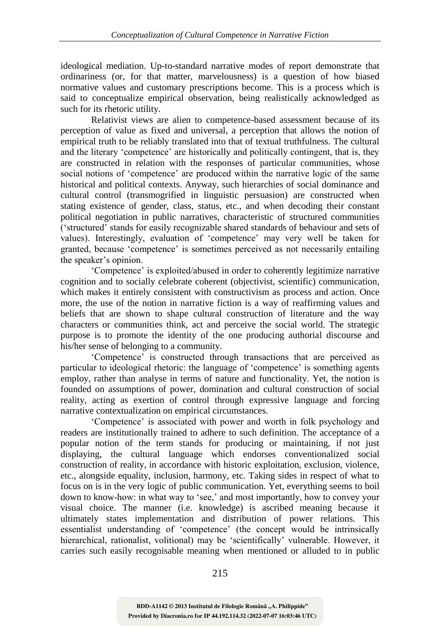ideological mediation. Up-to-standard narrative modes of report demonstrate that ordinariness (or, for that matter, marvelousness) is a question of how biased normative values and customary prescriptions become. This is a process which is said to conceptualize empirical observation, being realistically acknowledged as such for its rhetoric utility.

Relativist views are alien to competence-based assessment because of its perception of value as fixed and universal, a perception that allows the notion of empirical truth to be reliably translated into that of textual truthfulness. The cultural and the literary 'competence' are historically and politically contingent, that is, they are constructed in relation with the responses of particular communities, whose social notions of 'competence' are produced within the narrative logic of the same historical and political contexts. Anyway, such hierarchies of social dominance and cultural control (transmogrified in linguistic persuasion) are constructed when stating existence of gender, class, status, etc., and when decoding their constant political negotiation in public narratives, characteristic of structured communities ('structured' stands for easily recognizable shared standards of behaviour and sets of values). Interestingly, evaluation of 'competence' may very well be taken for granted, because 'competence' is sometimes perceived as not necessarily entailing the speaker's opinion.

'Competence' is exploited/abused in order to coherently legitimize narrative cognition and to socially celebrate coherent (objectivist, scientific) communication, which makes it entirely consistent with constructivism as process and action. Once more, the use of the notion in narrative fiction is a way of reaffirming values and beliefs that are shown to shape cultural construction of literature and the way characters or communities think, act and perceive the social world. The strategic purpose is to promote the identity of the one producing authorial discourse and his/her sense of belonging to a community.

'Competence' is constructed through transactions that are perceived as particular to ideological rhetoric: the language of 'competence' is something agents employ, rather than analyse in terms of nature and functionality. Yet, the notion is founded on assumptions of power, domination and cultural construction of social reality, acting as exertion of control through expressive language and forcing narrative contextualization on empirical circumstances.

'Competence' is associated with power and worth in folk psychology and readers are institutionally trained to adhere to such definition. The acceptance of a popular notion of the term stands for producing or maintaining, if not just displaying, the cultural language which endorses conventionalized social construction of reality, in accordance with historic exploitation, exclusion, violence, etc., alongside equality, inclusion, harmony, etc. Taking sides in respect of what to focus on is in the very logic of public communication. Yet, everything seems to boil down to know-how: in what way to 'see,' and most importantly, how to convey your visual choice. The manner (i.e. knowledge) is ascribed meaning because it ultimately states implementation and distribution of power relations. This essentialist understanding of 'competence' (the concept would be intrinsically hierarchical, rationalist, volitional) may be 'scientifically' vulnerable. However, it carries such easily recognisable meaning when mentioned or alluded to in public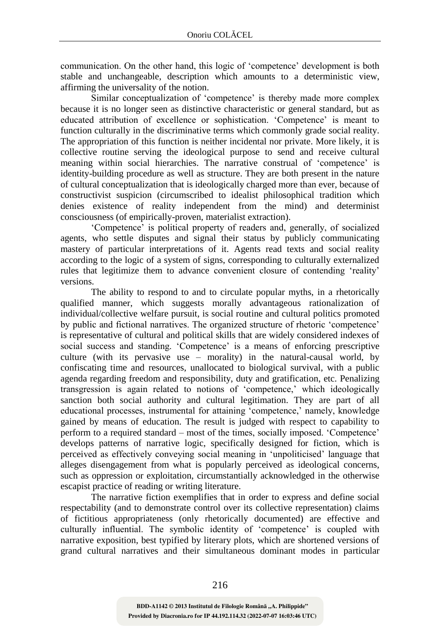communication. On the other hand, this logic of 'competence' development is both stable and unchangeable, description which amounts to a deterministic view, affirming the universality of the notion.

Similar conceptualization of 'competence' is thereby made more complex because it is no longer seen as distinctive characteristic or general standard, but as educated attribution of excellence or sophistication. 'Competence' is meant to function culturally in the discriminative terms which commonly grade social reality. The appropriation of this function is neither incidental nor private. More likely, it is collective routine serving the ideological purpose to send and receive cultural meaning within social hierarchies. The narrative construal of 'competence' is identity-building procedure as well as structure. They are both present in the nature of cultural conceptualization that is ideologically charged more than ever, because of constructivist suspicion (circumscribed to idealist philosophical tradition which denies existence of reality independent from the mind) and determinist consciousness (of empirically-proven, materialist extraction).

'Competence' is political property of readers and, generally, of socialized agents, who settle disputes and signal their status by publicly communicating mastery of particular interpretations of it. Agents read texts and social reality according to the logic of a system of signs, corresponding to culturally externalized rules that legitimize them to advance convenient closure of contending 'reality' versions.

The ability to respond to and to circulate popular myths, in a rhetorically qualified manner, which suggests morally advantageous rationalization of individual/collective welfare pursuit, is social routine and cultural politics promoted by public and fictional narratives. The organized structure of rhetoric 'competence' is representative of cultural and political skills that are widely considered indexes of social success and standing. 'Competence' is a means of enforcing prescriptive culture (with its pervasive use – morality) in the natural-causal world, by confiscating time and resources, unallocated to biological survival, with a public agenda regarding freedom and responsibility, duty and gratification, etc. Penalizing transgression is again related to notions of 'competence,' which ideologically sanction both social authority and cultural legitimation. They are part of all educational processes, instrumental for attaining 'competence,' namely, knowledge gained by means of education. The result is judged with respect to capability to perform to a required standard – most of the times, socially imposed. 'Competence' develops patterns of narrative logic, specifically designed for fiction, which is perceived as effectively conveying social meaning in 'unpoliticised' language that alleges disengagement from what is popularly perceived as ideological concerns, such as oppression or exploitation, circumstantially acknowledged in the otherwise escapist practice of reading or writing literature.

The narrative fiction exemplifies that in order to express and define social respectability (and to demonstrate control over its collective representation) claims of fictitious appropriateness (only rhetorically documented) are effective and culturally influential. The symbolic identity of 'competence' is coupled with narrative exposition, best typified by literary plots, which are shortened versions of grand cultural narratives and their simultaneous dominant modes in particular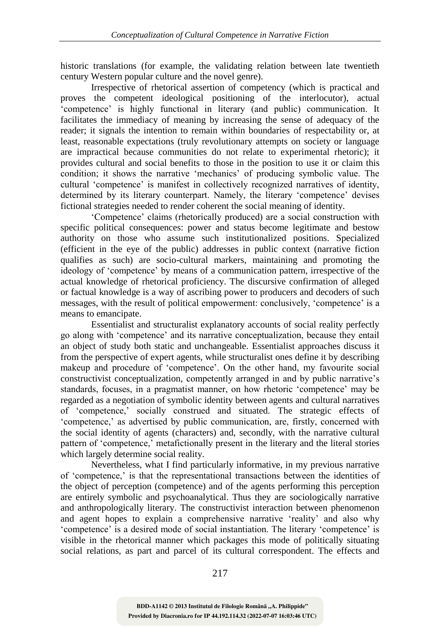historic translations (for example, the validating relation between late twentieth century Western popular culture and the novel genre).

Irrespective of rhetorical assertion of competency (which is practical and proves the competent ideological positioning of the interlocutor), actual 'competence' is highly functional in literary (and public) communication. It facilitates the immediacy of meaning by increasing the sense of adequacy of the reader; it signals the intention to remain within boundaries of respectability or, at least, reasonable expectations (truly revolutionary attempts on society or language are impractical because communities do not relate to experimental rhetoric); it provides cultural and social benefits to those in the position to use it or claim this condition; it shows the narrative 'mechanics' of producing symbolic value. The cultural 'competence' is manifest in collectively recognized narratives of identity, determined by its literary counterpart. Namely, the literary 'competence' devises fictional strategies needed to render coherent the social meaning of identity.

'Competence' claims (rhetorically produced) are a social construction with specific political consequences: power and status become legitimate and bestow authority on those who assume such institutionalized positions. Specialized (efficient in the eye of the public) addresses in public context (narrative fiction qualifies as such) are socio-cultural markers, maintaining and promoting the ideology of 'competence' by means of a communication pattern, irrespective of the actual knowledge of rhetorical proficiency. The discursive confirmation of alleged or factual knowledge is a way of ascribing power to producers and decoders of such messages, with the result of political empowerment: conclusively, 'competence' is a means to emancipate.

Essentialist and structuralist explanatory accounts of social reality perfectly go along with 'competence' and its narrative conceptualization, because they entail an object of study both static and unchangeable. Essentialist approaches discuss it from the perspective of expert agents, while structuralist ones define it by describing makeup and procedure of 'competence'. On the other hand, my favourite social constructivist conceptualization, competently arranged in and by public narrative's standards, focuses, in a pragmatist manner, on how rhetoric 'competence' may be regarded as a negotiation of symbolic identity between agents and cultural narratives of 'competence,' socially construed and situated. The strategic effects of 'competence,' as advertised by public communication, are, firstly, concerned with the social identity of agents (characters) and, secondly, with the narrative cultural pattern of 'competence,' metafictionally present in the literary and the literal stories which largely determine social reality.

Nevertheless, what I find particularly informative, in my previous narrative of 'competence,' is that the representational transactions between the identities of the object of perception (competence) and of the agents performing this perception are entirely symbolic and psychoanalytical. Thus they are sociologically narrative and anthropologically literary. The constructivist interaction between phenomenon and agent hopes to explain a comprehensive narrative 'reality' and also why 'competence' is a desired mode of social instantiation. The literary 'competence' is visible in the rhetorical manner which packages this mode of politically situating social relations, as part and parcel of its cultural correspondent. The effects and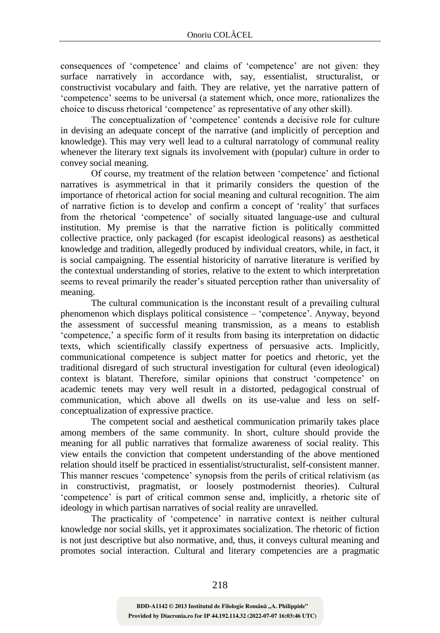consequences of 'competence' and claims of 'competence' are not given: they surface narratively in accordance with, say, essentialist, structuralist, or constructivist vocabulary and faith. They are relative, yet the narrative pattern of 'competence' seems to be universal (a statement which, once more, rationalizes the choice to discuss rhetorical 'competence' as representative of any other skill).

The conceptualization of 'competence' contends a decisive role for culture in devising an adequate concept of the narrative (and implicitly of perception and knowledge). This may very well lead to a cultural narratology of communal reality whenever the literary text signals its involvement with (popular) culture in order to convey social meaning.

Of course, my treatment of the relation between 'competence' and fictional narratives is asymmetrical in that it primarily considers the question of the importance of rhetorical action for social meaning and cultural recognition. The aim of narrative fiction is to develop and confirm a concept of 'reality' that surfaces from the rhetorical 'competence' of socially situated language-use and cultural institution. My premise is that the narrative fiction is politically committed collective practice, only packaged (for escapist ideological reasons) as aesthetical knowledge and tradition, allegedly produced by individual creators, while, in fact, it is social campaigning. The essential historicity of narrative literature is verified by the contextual understanding of stories, relative to the extent to which interpretation seems to reveal primarily the reader's situated perception rather than universality of meaning.

The cultural communication is the inconstant result of a prevailing cultural phenomenon which displays political consistence – 'competence'. Anyway, beyond the assessment of successful meaning transmission, as a means to establish 'competence,' a specific form of it results from basing its interpretation on didactic texts, which scientifically classify expertness of persuasive acts. Implicitly, communicational competence is subject matter for poetics and rhetoric, yet the traditional disregard of such structural investigation for cultural (even ideological) context is blatant. Therefore, similar opinions that construct 'competence' on academic tenets may very well result in a distorted, pedagogical construal of communication, which above all dwells on its use-value and less on selfconceptualization of expressive practice.

The competent social and aesthetical communication primarily takes place among members of the same community. In short, culture should provide the meaning for all public narratives that formalize awareness of social reality. This view entails the conviction that competent understanding of the above mentioned relation should itself be practiced in essentialist/structuralist, self-consistent manner. This manner rescues 'competence' synopsis from the perils of critical relativism (as in constructivist, pragmatist, or loosely postmodernist theories). Cultural 'competence' is part of critical common sense and, implicitly, a rhetoric site of ideology in which partisan narratives of social reality are unravelled.

The practicality of 'competence' in narrative context is neither cultural knowledge nor social skills, yet it approximates socialization. The rhetoric of fiction is not just descriptive but also normative, and, thus, it conveys cultural meaning and promotes social interaction. Cultural and literary competencies are a pragmatic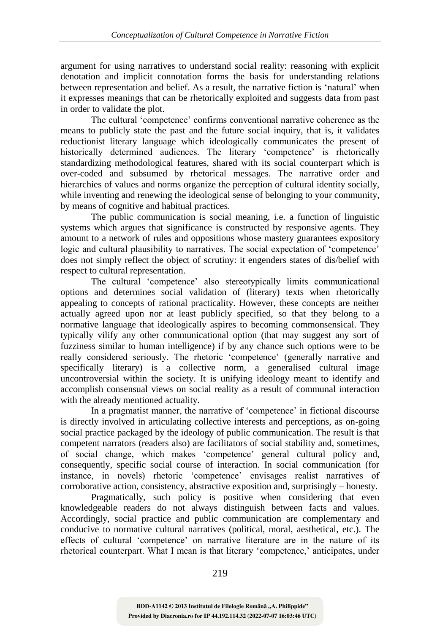argument for using narratives to understand social reality: reasoning with explicit denotation and implicit connotation forms the basis for understanding relations between representation and belief. As a result, the narrative fiction is 'natural' when it expresses meanings that can be rhetorically exploited and suggests data from past in order to validate the plot.

The cultural 'competence' confirms conventional narrative coherence as the means to publicly state the past and the future social inquiry, that is, it validates reductionist literary language which ideologically communicates the present of historically determined audiences. The literary 'competence' is rhetorically standardizing methodological features, shared with its social counterpart which is over-coded and subsumed by rhetorical messages. The narrative order and hierarchies of values and norms organize the perception of cultural identity socially, while inventing and renewing the ideological sense of belonging to your community, by means of cognitive and habitual practices.

The public communication is social meaning, i.e. a function of linguistic systems which argues that significance is constructed by responsive agents. They amount to a network of rules and oppositions whose mastery guarantees expository logic and cultural plausibility to narratives. The social expectation of 'competence' does not simply reflect the object of scrutiny: it engenders states of dis/belief with respect to cultural representation.

The cultural 'competence' also stereotypically limits communicational options and determines social validation of (literary) texts when rhetorically appealing to concepts of rational practicality. However, these concepts are neither actually agreed upon nor at least publicly specified, so that they belong to a normative language that ideologically aspires to becoming commonsensical. They typically vilify any other communicational option (that may suggest any sort of fuzziness similar to human intelligence) if by any chance such options were to be really considered seriously. The rhetoric 'competence' (generally narrative and specifically literary) is a collective norm, a generalised cultural image uncontroversial within the society. It is unifying ideology meant to identify and accomplish consensual views on social reality as a result of communal interaction with the already mentioned actuality.

In a pragmatist manner, the narrative of 'competence' in fictional discourse is directly involved in articulating collective interests and perceptions, as on-going social practice packaged by the ideology of public communication. The result is that competent narrators (readers also) are facilitators of social stability and, sometimes, of social change, which makes 'competence' general cultural policy and, consequently, specific social course of interaction. In social communication (for instance, in novels) rhetoric 'competence' envisages realist narratives of corroborative action, consistency, abstractive exposition and, surprisingly – honesty.

Pragmatically, such policy is positive when considering that even knowledgeable readers do not always distinguish between facts and values. Accordingly, social practice and public communication are complementary and conducive to normative cultural narratives (political, moral, aesthetical, etc.). The effects of cultural 'competence' on narrative literature are in the nature of its rhetorical counterpart. What I mean is that literary 'competence,' anticipates, under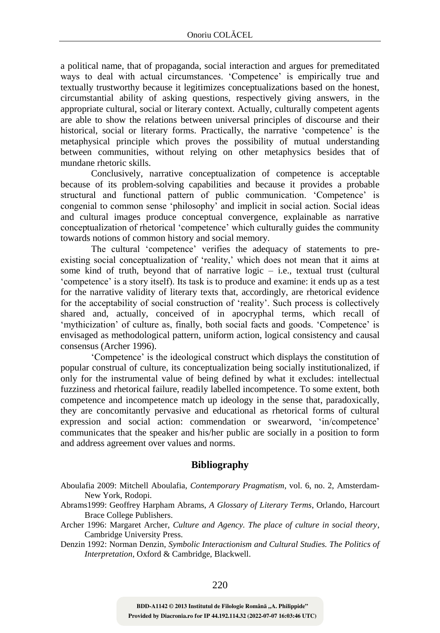a political name, that of propaganda, social interaction and argues for premeditated ways to deal with actual circumstances. 'Competence' is empirically true and textually trustworthy because it legitimizes conceptualizations based on the honest, circumstantial ability of asking questions, respectively giving answers, in the appropriate cultural, social or literary context. Actually, culturally competent agents are able to show the relations between universal principles of discourse and their historical, social or literary forms. Practically, the narrative 'competence' is the metaphysical principle which proves the possibility of mutual understanding between communities, without relying on other metaphysics besides that of mundane rhetoric skills.

Conclusively, narrative conceptualization of competence is acceptable because of its problem-solving capabilities and because it provides a probable structural and functional pattern of public communication. 'Competence' is congenial to common sense 'philosophy' and implicit in social action. Social ideas and cultural images produce conceptual convergence, explainable as narrative conceptualization of rhetorical 'competence' which culturally guides the community towards notions of common history and social memory.

The cultural 'competence' verifies the adequacy of statements to preexisting social conceptualization of 'reality,' which does not mean that it aims at some kind of truth, beyond that of narrative logic  $-$  i.e., textual trust (cultural 'competence' is a story itself). Its task is to produce and examine: it ends up as a test for the narrative validity of literary texts that, accordingly, are rhetorical evidence for the acceptability of social construction of 'reality'. Such process is collectively shared and, actually, conceived of in apocryphal terms, which recall of 'mythicization' of culture as, finally, both social facts and goods. 'Competence' is envisaged as methodological pattern, uniform action, logical consistency and causal consensus (Archer 1996).

'Competence' is the ideological construct which displays the constitution of popular construal of culture, its conceptualization being socially institutionalized, if only for the instrumental value of being defined by what it excludes: intellectual fuzziness and rhetorical failure, readily labelled incompetence. To some extent, both competence and incompetence match up ideology in the sense that, paradoxically, they are concomitantly pervasive and educational as rhetorical forms of cultural expression and social action: commendation or swearword, 'in/competence' communicates that the speaker and his/her public are socially in a position to form and address agreement over values and norms.

## **Bibliography**

- Aboulafia 2009: Mitchell Aboulafia, *Contemporary Pragmatism*, vol. 6, no. 2, Amsterdam-New York, Rodopi.
- Abrams1999: Geoffrey Harpham Abrams, *A Glossary of Literary Terms*, Orlando, Harcourt Brace College Publishers.
- Archer 1996: Margaret Archer, *Culture and Agency. The place of culture in social theory*, Cambridge University Press.
- Denzin 1992: Norman Denzin, *Symbolic Interactionism and Cultural Studies. The Politics of Interpretation*, Oxford & Cambridge, Blackwell.

**Provided by Diacronia.ro for IP 44.192.114.32 (2022-07-07 16:03:46 UTC)** BDD-A1142 © 2013 Institutul de Filologie Română "A. Philippide"